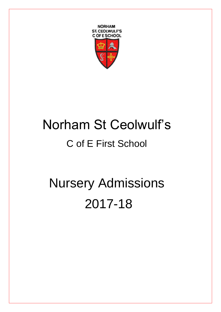

# Norham St Ceolwulf's C of E First School

# Nursery Admissions 2017-18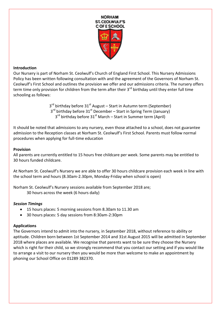

## **Introduction**

Our Nursery is part of Norham St. Ceolwulf's Church of England First School. This Nursery Admissions Policy has been written following consultation with and the agreement of the Governors of Norham St. Ceolwulf's First School and outlines the provision we offer and our admissions criteria. The nursery offers term time only provision for children from the term after their 3<sup>rd</sup> birthday until they enter full time schooling as follows:

> 3<sup>rd</sup> birthday before 31<sup>st</sup> August – Start in Autumn term (September) 3<sup>rd</sup> birthday before 31<sup>st</sup> December – Start in Spring Term (January) 3<sup>rd</sup> birthday before 31<sup>st</sup> March – Start in Summer term (April)

It should be noted that admissions to any nursery, even those attached to a school, does not guarantee admission to the Reception classes at Norham St. Ceolwulf's First School. Parents must follow normal procedures when applying for full-time education

## **Provision**

All parents are currently entitled to 15 hours free childcare per week. Some parents may be entitled to 30 hours funded childcare.

At Norham St. Ceolwulf's Nursery we are able to offer 30 hours childcare provision each week in line with the school term and hours (8.30am-2.30pm, Monday-Friday when school is open)

Norham St. Ceolwulf's Nursery sessions available from September 2018 are; 30 hours across the week (6 hours daily)

## *Session Timings*

- 15 hours places: 5 morning sessions from 8.30am to 11.30 am
- 30 hours places: 5 day sessions from 8:30am-2:30pm

# **Applications**

The Governors intend to admit into the nursery, in September 2018, without reference to ability or aptitude. Children born between 1st September 2014 and 31st August 2015 will be admitted in September 2018 where places are available. We recognise that parents want to be sure they choose the Nursery which is right for their child, so we strongly recommend that you contact our setting and if you would like to arrange a visit to our nursery then you would be more than welcome to make an appointment by phoning our School Office on 01289 382370.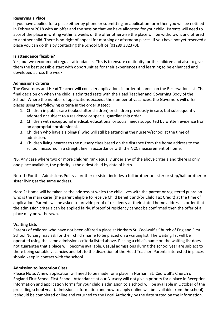#### **Reserving a Place**

If you have applied for a place either by phone or submitting an application form then you will be notified in February 2018 with an offer and the session that we have allocated for your child. Parents will need to accept the place in writing within 2 weeks of the offer otherwise the place will be withdrawn, and offered to another child. There is no right of appeal for morning or afternoon places. If you have not yet reserved a place you can do this by contacting the School Office (01289 382370).

## **Is attendance flexible?**

Yes, but we recommend regular attendance. This is to ensure continuity for the children and also to give them the best possible start with opportunities for their experiences and learning to be enhanced and developed across the week.

## **Admissions Criteria**

The Governors and Head Teacher will consider applications in order of names on the Reservation List. The final decision on when the child is admitted rests with the Head Teacher and Governing Body of the School. Where the number of applications exceeds the number of vacancies, the Governors will offer places using the following criteria in the order stated:

- 1. Children in public care (looked after children) or children previously in care, but subsequently adopted or subject to a residence or special guardianship order.
- 2. Children with exceptional medical, educational or social needs supported by written evidence from an appropriate professional.
- 3. Children who have a sibling(s) who will still be attending the nursery/school at the time of admission.
- 4. Children living nearest to the nursery class based on the distance from the home address to the school measured in a straight line in accordance with the NCC measurement of home.

NB. Any case where two or more children rank equally under any of the above criteria and there is only one place available, the priority is the oldest child by date of birth.

Note 1: For this Admissions Policy a brother or sister includes a full brother or sister or step/half brother or sister living at the same address.

Note 2: Home will be taken as the address at which the child lives with the parent or registered guardian who is the main carer (the parent eligible to receive Child Benefit and/or Child Tax Credit) at the time of application. Parents will be asked to provide proof of residency at their stated home address in order that the admission criteria can be applied fairly. If proof of residency cannot be confirmed then the offer of a place may be withdrawn.

## **Waiting Lists**

Parents of children who have not been offered a place at Norham St. Ceolwulf's Church of England First School Nursery may ask for their child's name to be placed on a waiting list. The waiting list will be operated using the same admissions criteria listed above. Placing a child's name on the waiting list does not guarantee that a place will become available. Casual admissions during the school year are subject to there being suitable vacancies and left to the discretion of the Head Teacher. Parents interested in places should keep in contact with the school.

#### **Admission to Reception Class**

Please Note: A new application will need to be made for a place in Norham St. Ceolwulf's Church of England First School First School. Attendance at our Nursery will not give a priority for a place in Reception. Information and application forms for your child's admission to a school will be available in October of the preceding school year (admissions information and how to apply online will be available from the school). It should be completed online and returned to the Local Authority by the date stated on the information.